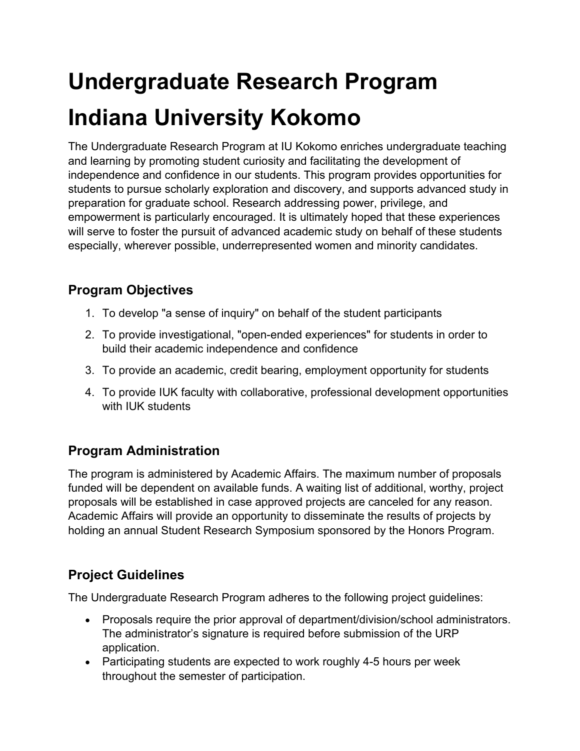# **Undergraduate Research Program Indiana University Kokomo**

The Undergraduate Research Program at IU Kokomo enriches undergraduate teaching and learning by promoting student curiosity and facilitating the development of independence and confidence in our students. This program provides opportunities for students to pursue scholarly exploration and discovery, and supports advanced study in preparation for graduate school. Research addressing power, privilege, and empowerment is particularly encouraged. It is ultimately hoped that these experiences will serve to foster the pursuit of advanced academic study on behalf of these students especially, wherever possible, underrepresented women and minority candidates.

### **Program Objectives**

- 1. To develop "a sense of inquiry" on behalf of the student participants
- 2. To provide investigational, "open-ended experiences" for students in order to build their academic independence and confidence
- 3. To provide an academic, credit bearing, employment opportunity for students
- 4. To provide IUK faculty with collaborative, professional development opportunities with IUK students

# **Program Administration**

The program is administered by Academic Affairs. The maximum number of proposals funded will be dependent on available funds. A waiting list of additional, worthy, project proposals will be established in case approved projects are canceled for any reason. Academic Affairs will provide an opportunity to disseminate the results of projects by holding an annual Student Research Symposium sponsored by the Honors Program.

# **Project Guidelines**

The Undergraduate Research Program adheres to the following project guidelines:

- Proposals require the prior approval of department/division/school administrators. The administrator's signature is required before submission of the URP application.
- Participating students are expected to work roughly 4-5 hours per week throughout the semester of participation.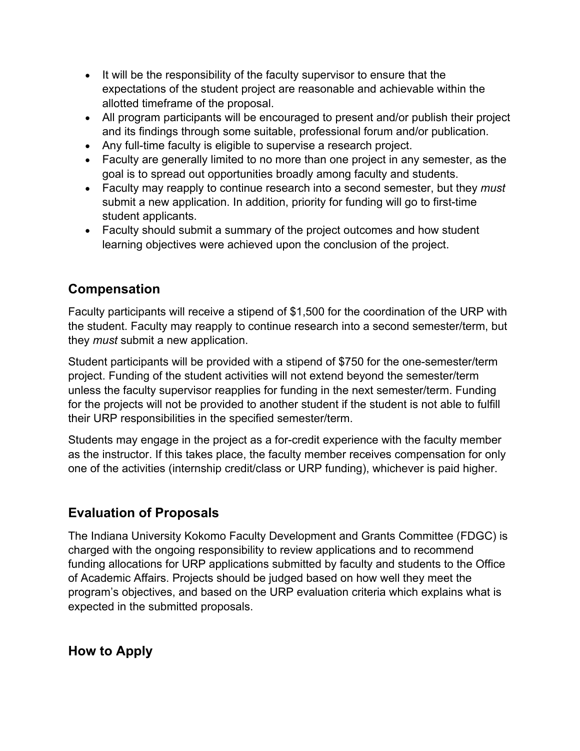- It will be the responsibility of the faculty supervisor to ensure that the expectations of the student project are reasonable and achievable within the allotted timeframe of the proposal.
- All program participants will be encouraged to present and/or publish their project and its findings through some suitable, professional forum and/or publication.
- Any full-time faculty is eligible to supervise a research project.
- Faculty are generally limited to no more than one project in any semester, as the goal is to spread out opportunities broadly among faculty and students.
- Faculty may reapply to continue research into a second semester, but they *must*  submit a new application. In addition, priority for funding will go to first-time student applicants.
- Faculty should submit a summary of the project outcomes and how student learning objectives were achieved upon the conclusion of the project.

### **Compensation**

Faculty participants will receive a stipend of \$1,500 for the coordination of the URP with the student. Faculty may reapply to continue research into a second semester/term, but they *must* submit a new application.

Student participants will be provided with a stipend of \$750 for the one-semester/term project. Funding of the student activities will not extend beyond the semester/term unless the faculty supervisor reapplies for funding in the next semester/term. Funding for the projects will not be provided to another student if the student is not able to fulfill their URP responsibilities in the specified semester/term.

Students may engage in the project as a for-credit experience with the faculty member as the instructor. If this takes place, the faculty member receives compensation for only one of the activities (internship credit/class or URP funding), whichever is paid higher.

# **Evaluation of Proposals**

The Indiana University Kokomo Faculty Development and Grants Committee (FDGC) is charged with the ongoing responsibility to review applications and to recommend funding allocations for URP applications submitted by faculty and students to the Office of Academic Affairs. Projects should be judged based on how well they meet the program's objectives, and based on the URP evaluation criteria which explains what is expected in the submitted proposals.

**How to Apply**